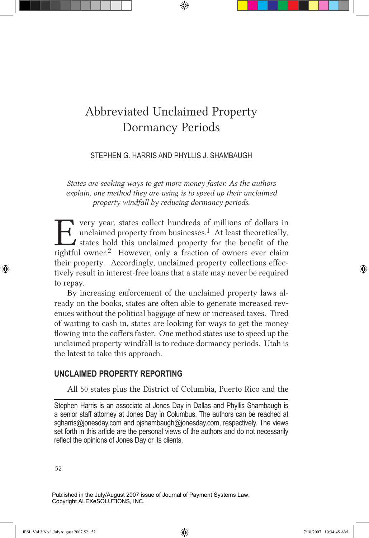# Abbreviated Unclaimed Property Dormancy Periods

### Stephen G. Harris and Phyllis J. Shambaugh

*States are seeking ways to get more money faster. As the authors explain, one method they are using is to speed up their unclaimed property windfall by reducing dormancy periods.*

**EVERICE 15 FORCE SET ALLET SET ALLET SET ALLET STATE STATE STATE STATE STATE STATE STATE STATE STATE STATE STATE STATE STATE STATE STATE STATE STATE STATE STATE STATE STATE STATE STATE STATE STATE STATE STATE STATE STATE** unclaimed property from businesses. $<sup>1</sup>$  At least theoretically,</sup> states hold this unclaimed property for the benefit of the their property. Accordingly, unclaimed property collections effectively result in interest-free loans that a state may never be required to repay.

By increasing enforcement of the unclaimed property laws already on the books, states are often able to generate increased revenues without the political baggage of new or increased taxes. Tired of waiting to cash in, states are looking for ways to get the money flowing into the coffers faster. One method states use to speed up the unclaimed property windfall is to reduce dormancy periods. Utah is the latest to take this approach.

### **Unclaimed Property Reporting**

All 50 states plus the District of Columbia, Puerto Rico and the

Stephen Harris is an associate at Jones Day in Dallas and Phyllis Shambaugh is a senior staff attorney at Jones Day in Columbus. The authors can be reached at sgharris@jonesday.com and pjshambaugh@jonesday.com, respectively. The views set forth in this article are the personal views of the authors and do not necessarily reflect the opinions of Jones Day or its clients.

52

↔

Published in the July/August 2007 issue of Journal of Payment Systems Law. Copyright ALEXeSOLUTIONS, INC.

↔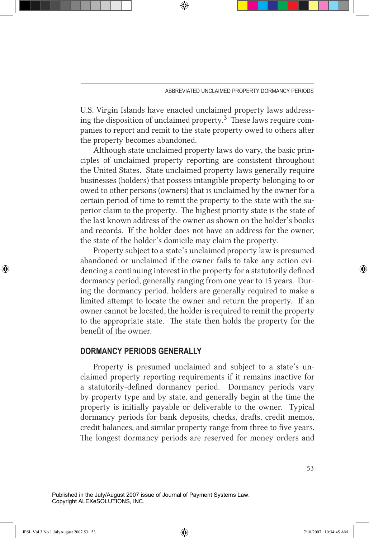Abbreviated Unclaimed Property Dormancy Periods

U.S. Virgin Islands have enacted unclaimed property laws addressing the disposition of unclaimed property.<sup>3</sup> These laws require companies to report and remit to the state property owed to others after the property becomes abandoned.

Although state unclaimed property laws do vary, the basic principles of unclaimed property reporting are consistent throughout the United States. State unclaimed property laws generally require businesses (holders) that possess intangible property belonging to or owed to other persons (owners) that is unclaimed by the owner for a certain period of time to remit the property to the state with the superior claim to the property. The highest priority state is the state of the last known address of the owner as shown on the holder's books and records. If the holder does not have an address for the owner, the state of the holder's domicile may claim the property.

Property subject to a state's unclaimed property law is presumed abandoned or unclaimed if the owner fails to take any action evidencing a continuing interest in the property for a statutorily defined dormancy period, generally ranging from one year to 15 years. During the dormancy period, holders are generally required to make a limited attempt to locate the owner and return the property. If an owner cannot be located, the holder is required to remit the property to the appropriate state. The state then holds the property for the benefit of the owner.

### **Dormancy Periods Generally**

Property is presumed unclaimed and subject to a state's unclaimed property reporting requirements if it remains inactive for a statutorily-defined dormancy period. Dormancy periods vary by property type and by state, and generally begin at the time the property is initially payable or deliverable to the owner. Typical dormancy periods for bank deposits, checks, drafts, credit memos, credit balances, and similar property range from three to five years. The longest dormancy periods are reserved for money orders and

53

Published in the July/August 2007 issue of Journal of Payment Systems Law. Copyright ALEXeSOLUTIONS, INC.

↔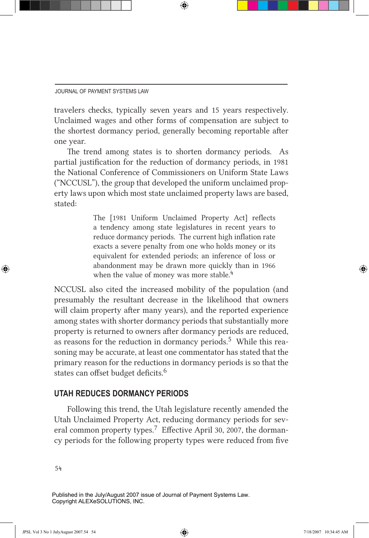#### Journal of payment systems law

travelers checks, typically seven years and 15 years respectively. Unclaimed wages and other forms of compensation are subject to the shortest dormancy period, generally becoming reportable after one year.

⊕

The trend among states is to shorten dormancy periods. As partial justification for the reduction of dormancy periods, in 1981 the National Conference of Commissioners on Uniform State Laws ("NCCUSL"), the group that developed the uniform unclaimed property laws upon which most state unclaimed property laws are based, stated:

> The [1981 Uniform Unclaimed Property Act] reflects a tendency among state legislatures in recent years to reduce dormancy periods. The current high inflation rate exacts a severe penalty from one who holds money or its equivalent for extended periods; an inference of loss or abandonment may be drawn more quickly than in 1966 when the value of money was more stable.<sup>4</sup>

NCCUSL also cited the increased mobility of the population (and presumably the resultant decrease in the likelihood that owners will claim property after many years), and the reported experience among states with shorter dormancy periods that substantially more property is returned to owners after dormancy periods are reduced, as reasons for the reduction in dormancy periods.<sup>5</sup> While this reasoning may be accurate, at least one commentator has stated that the primary reason for the reductions in dormancy periods is so that the states can offset budget deficits.<sup>6</sup>

### **Utah Reduces Dormancy Periods**

Following this trend, the Utah legislature recently amended the Utah Unclaimed Property Act, reducing dormancy periods for several common property types.<sup>7</sup> Effective April 30, 2007, the dormancy periods for the following property types were reduced from five

54

↔

Published in the July/August 2007 issue of Journal of Payment Systems Law. Copyright ALEXeSOLUTIONS, INC.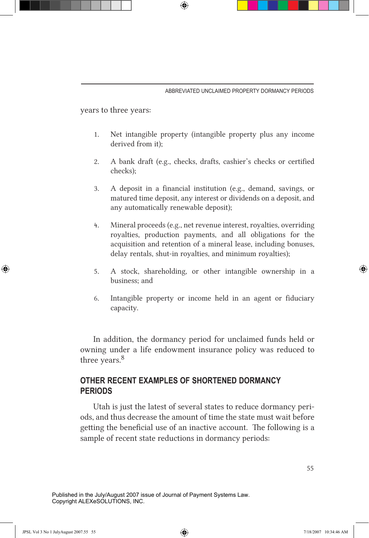years to three years:

1. Net intangible property (intangible property plus any income derived from it);

⊕

- 2. A bank draft (e.g., checks, drafts, cashier's checks or certified checks);
- 3. A deposit in a financial institution (e.g., demand, savings, or matured time deposit, any interest or dividends on a deposit, and any automatically renewable deposit);
- 4. Mineral proceeds (e.g., net revenue interest, royalties, overriding royalties, production payments, and all obligations for the acquisition and retention of a mineral lease, including bonuses, delay rentals, shut-in royalties, and minimum royalties);
- 5. A stock, shareholding, or other intangible ownership in a business; and
- 6. Intangible property or income held in an agent or fiduciary capacity.

In addition, the dormancy period for unclaimed funds held or owning under a life endowment insurance policy was reduced to three years.<sup>8</sup>

## **Other Recent Examples of Shortened Dormancy Periods**

Utah is just the latest of several states to reduce dormancy periods, and thus decrease the amount of time the state must wait before getting the beneficial use of an inactive account. The following is a sample of recent state reductions in dormancy periods:

Published in the July/August 2007 issue of Journal of Payment Systems Law. Copyright ALEXeSOLUTIONS, INC.

⊕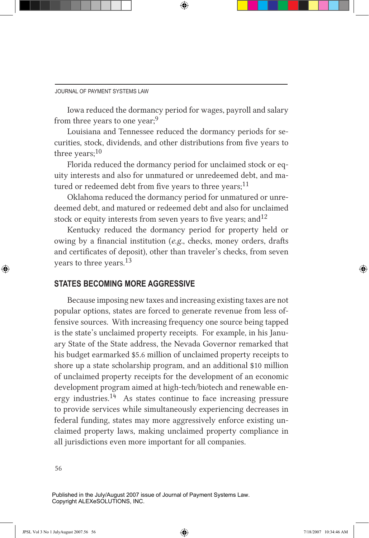

Iowa reduced the dormancy period for wages, payroll and salary from three years to one year; $9$ 

Louisiana and Tennessee reduced the dormancy periods for securities, stock, dividends, and other distributions from five years to three years; $10$ 

Florida reduced the dormancy period for unclaimed stock or equity interests and also for unmatured or unredeemed debt, and matured or redeemed debt from five years to three years;<sup>11</sup>

Oklahoma reduced the dormancy period for unmatured or unredeemed debt, and matured or redeemed debt and also for unclaimed stock or equity interests from seven years to five years; and  $12$ 

Kentucky reduced the dormancy period for property held or owing by a financial institution (*e.g.*, checks, money orders, drafts and certificates of deposit), other than traveler's checks, from seven years to three years.<sup>13</sup>

### **States Becoming More Aggressive**

Because imposing new taxes and increasing existing taxes are not popular options, states are forced to generate revenue from less offensive sources. With increasing frequency one source being tapped is the state's unclaimed property receipts. For example, in his January State of the State address, the Nevada Governor remarked that his budget earmarked \$5.6 million of unclaimed property receipts to shore up a state scholarship program, and an additional \$10 million of unclaimed property receipts for the development of an economic development program aimed at high-tech/biotech and renewable energy industries. $14$  As states continue to face increasing pressure to provide services while simultaneously experiencing decreases in federal funding, states may more aggressively enforce existing unclaimed property laws, making unclaimed property compliance in all jurisdictions even more important for all companies.

56

↔

Published in the July/August 2007 issue of Journal of Payment Systems Law. Copyright ALEXeSOLUTIONS, INC.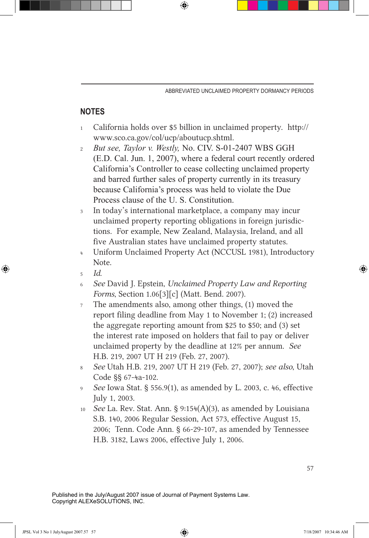Abbreviated Unclaimed Property Dormancy Periods

### **notes**

<sup>1</sup> California holds over \$5 billion in unclaimed property. http:// www.sco.ca.gov/col/ucp/aboutucp.shtml.

⊕

- <sup>2</sup> *But see, Taylor v. Westly,* No. CIV. S-01-2407 WBS GGH (E.D. Cal. Jun. 1, 2007), where a federal court recently ordered California's Controller to cease collecting unclaimed property and barred further sales of property currently in its treasury because California's process was held to violate the Due Process clause of the U. S. Constitution.
- <sup>3</sup> In today's international marketplace, a company may incur unclaimed property reporting obligations in foreign jurisdictions. For example, New Zealand, Malaysia, Ireland, and all five Australian states have unclaimed property statutes.
- Uniform Unclaimed Property Act (NCCUSL 1981), Introductory Note.
- <sup>5</sup> *Id*.

↔

- <sup>6</sup> *See* David J. Epstein, *Unclaimed Property Law and Reporting Forms*, Section 1.06[3][c] (Matt. Bend. 2007).
- <sup>7</sup> The amendments also, among other things, (1) moved the report filing deadline from May 1 to November 1; (2) increased the aggregate reporting amount from \$25 to \$50; and (3) set the interest rate imposed on holders that fail to pay or deliver unclaimed property by the deadline at 12% per annum. *See* H.B. 219, 2007 UT H 219 (Feb. 27, 2007).
- <sup>8</sup> *See* Utah H.B. 219, 2007 UT H 219 (Feb. 27, 2007); *see also*, Utah Code §§ 67-4a-102.
- <sup>9</sup> *See* Iowa Stat. § 556.9(1), as amended by L. 2003, c. 46, effective July 1, 2003.
- <sup>10</sup> *See* La. Rev. Stat. Ann. § 9:154(A)(3), as amended by Louisiana S.B. 140, 2006 Regular Session, Act 573, effective August 15, 2006; Tenn. Code Ann. § 66-29-107, as amended by Tennessee H.B. 3182, Laws 2006, effective July 1, 2006.

57

Published in the July/August 2007 issue of Journal of Payment Systems Law. Copyright ALEXeSOLUTIONS, INC.